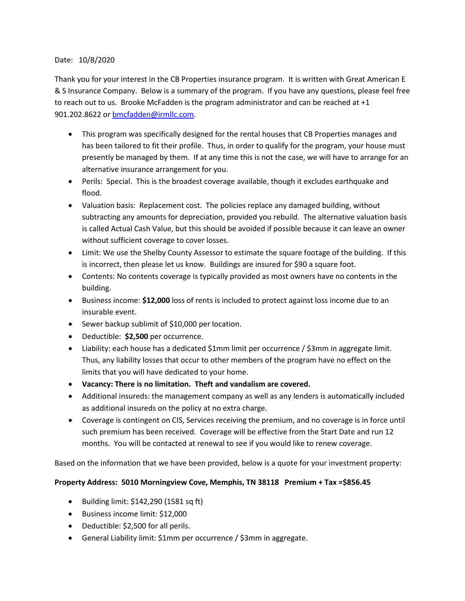## Date: 10/8/2020

Thank you for your interest in the CB Properties insurance program. It is written with Great American E & S Insurance Company. Below is a summary of the program. If you have any questions, please feel free to reach out to us. Brooke McFadden is the program administrator and can be reached at  $+1$ 901.202.8622 or [bmcfadden@irmllc.com.](mailto:bmcfadden@irmllc.com)

- This program was specifically designed for the rental houses that CB Properties manages and has been tailored to fit their profile. Thus, in order to qualify for the program, your house must presently be managed by them. If at any time this is not the case, we will have to arrange for an alternative insurance arrangement for you.
- Perils: Special. This is the broadest coverage available, though it excludes earthquake and flood.
- Valuation basis: Replacement cost. The policies replace any damaged building, without subtracting any amounts for depreciation, provided you rebuild. The alternative valuation basis is called Actual Cash Value, but this should be avoided if possible because it can leave an owner without sufficient coverage to cover losses.
- Limit: We use the Shelby County Assessor to estimate the square footage of the building. If this is incorrect, then please let us know. Buildings are insured for \$90 a square foot.
- Contents: No contents coverage is typically provided as most owners have no contents in the building.
- Business income: **\$12,000** loss of rents is included to protect against loss income due to an insurable event.
- Sewer backup sublimit of \$10,000 per location.
- Deductible: **\$2,500** per occurrence.
- Liability: each house has a dedicated \$1mm limit per occurrence / \$3mm in aggregate limit. Thus, any liability losses that occur to other members of the program have no effect on the limits that you will have dedicated to your home.
- **Vacancy: There is no limitation. Theft and vandalism are covered.**
- Additional insureds: the management company as well as any lenders is automatically included as additional insureds on the policy at no extra charge.
- Coverage is contingent on CIS, Services receiving the premium, and no coverage is in force until such premium has been received. Coverage will be effective from the Start Date and run 12 months. You will be contacted at renewal to see if you would like to renew coverage.

Based on the information that we have been provided, below is a quote for your investment property:

## **Property Address: 5010 Morningview Cove, Memphis, TN 38118 Premium + Tax =\$856.45**

- Building limit: \$142,290 (1581 sq ft)
- Business income limit: \$12,000
- Deductible: \$2,500 for all perils.
- General Liability limit: \$1mm per occurrence / \$3mm in aggregate.